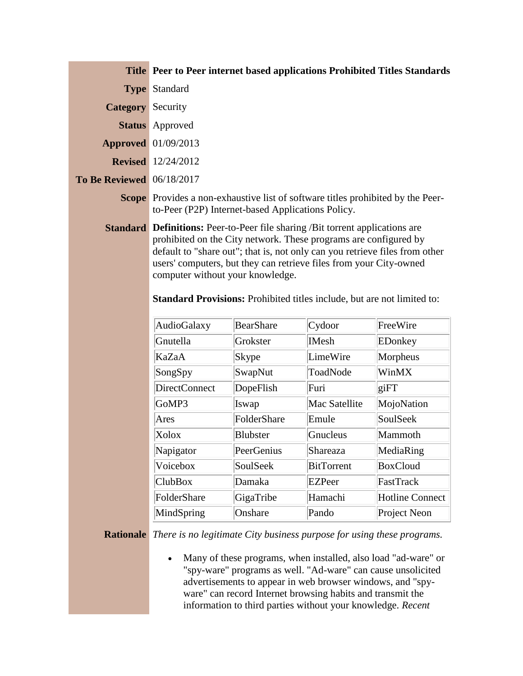|                                  | <b>Title Peer to Peer internet based applications Prohibited Titles Standards</b>                                                                                                                                                                                                                                                                 |  |  |
|----------------------------------|---------------------------------------------------------------------------------------------------------------------------------------------------------------------------------------------------------------------------------------------------------------------------------------------------------------------------------------------------|--|--|
|                                  | <b>Type Standard</b>                                                                                                                                                                                                                                                                                                                              |  |  |
| <b>Category</b> Security         |                                                                                                                                                                                                                                                                                                                                                   |  |  |
|                                  | <b>Status</b> Approved                                                                                                                                                                                                                                                                                                                            |  |  |
|                                  | <b>Approved</b> 01/09/2013                                                                                                                                                                                                                                                                                                                        |  |  |
|                                  | <b>Revised</b> 12/24/2012                                                                                                                                                                                                                                                                                                                         |  |  |
| <b>To Be Reviewed</b> 06/18/2017 |                                                                                                                                                                                                                                                                                                                                                   |  |  |
|                                  | <b>Scope</b> Provides a non-exhaustive list of software titles prohibited by the Peer-<br>to-Peer (P2P) Internet-based Applications Policy.                                                                                                                                                                                                       |  |  |
|                                  | <b>Standard Definitions:</b> Peer-to-Peer file sharing /Bit torrent applications are<br>prohibited on the City network. These programs are configured by<br>default to "share out"; that is, not only can you retrieve files from other<br>users' computers, but they can retrieve files from your City-owned<br>computer without your knowledge. |  |  |

**Standard Provisions:** Prohibited titles include, but are not limited to:

| AudioGalaxy    | BearShare       | Cydoor            | FreeWire               |
|----------------|-----------------|-------------------|------------------------|
| Gnutella       | Grokster        | <b>IMesh</b>      | EDonkey                |
| KaZaA          | Skype           | LimeWire          | Morpheus               |
| SongSpy        | SwapNut         | ToadNode          | WinMX                  |
| DirectConnect  | DopeFlish       | Furi              | giFT                   |
| GoMP3          | Iswap           | Mac Satellite     | MojoNation             |
| Ares           | FolderShare     | Emule             | SoulSeek               |
| Xolox          | <b>Blubster</b> | Gnucleus          | Mammoth                |
| Napigator      | PeerGenius      | Shareaza          | MediaRing              |
| Voicebox       | SoulSeek        | <b>BitTorrent</b> | <b>BoxCloud</b>        |
| <b>ClubBox</b> | Damaka          | EZPeer            | FastTrack              |
| FolderShare    | GigaTribe       | Hamachi           | <b>Hotline Connect</b> |
| MindSpring     | Onshare         | Pando             | Project Neon           |

**Rationale** *There is no legitimate City business purpose for using these programs.*

 Many of these programs, when installed, also load "ad-ware" or "spy-ware" programs as well. "Ad-ware" can cause unsolicited advertisements to appear in web browser windows, and "spyware" can record Internet browsing habits and transmit the information to third parties without your knowledge. *Recent*